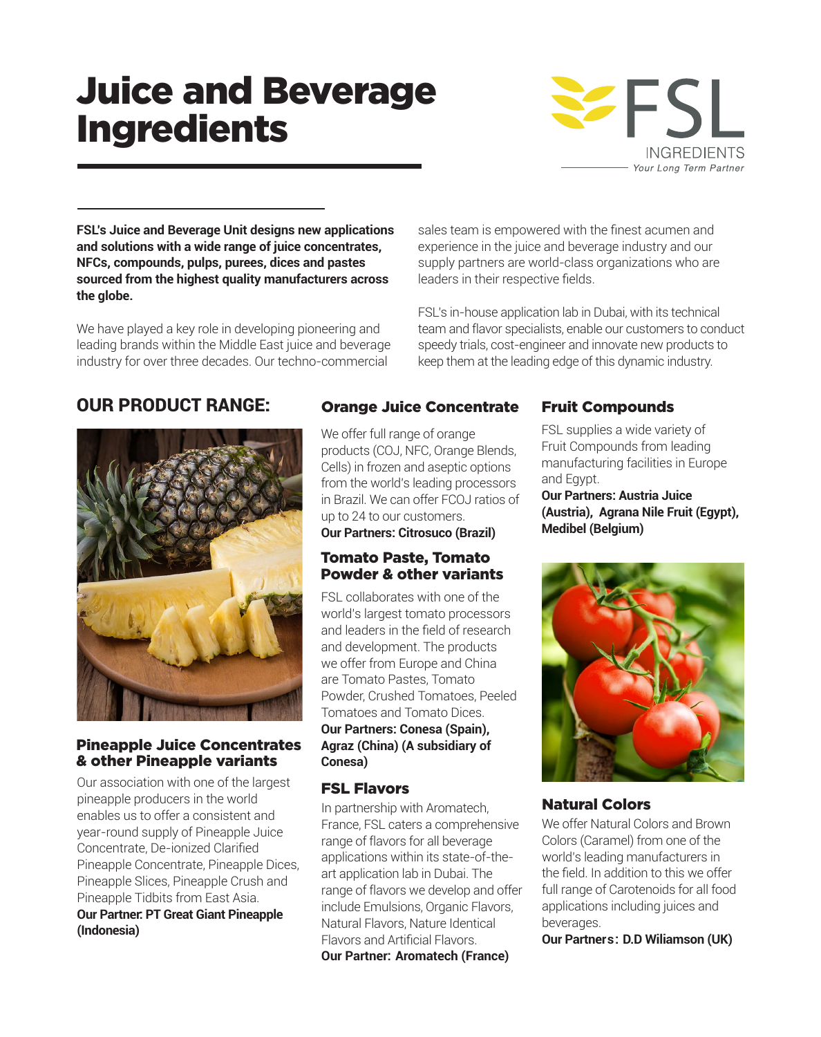# Juice and Beverage Ingredients



**FSL's Juice and Beverage Unit designs new applications and solutions with a wide range of juice concentrates, NFCs, compounds, pulps, purees, dices and pastes sourced from the highest quality manufacturers across the globe.** 

We have played a key role in developing pioneering and leading brands within the Middle East juice and beverage industry for over three decades. Our techno-commercial

# OUR PRODUCT RANGE:



#### Pineapple Juice Concentrates & other Pineapple variants

Our association with one of the largest pineapple producers in the world enables us to offer a consistent and year-round supply of Pineapple Juice Concentrate, De-ionized Clarified Pineapple Concentrate, Pineapple Dices, Pineapple Slices, Pineapple Crush and Pineapple Tidbits from East Asia.

#### **Our Partner: PT Great Giant Pineapple (Indonesia)**

## Orange Juice Concentrate Fruit Compounds

We offer full range of orange products (COJ, NFC, Orange Blends, Cells) in frozen and aseptic options from the world's leading processors in Brazil. We can offer FCOJ ratios of up to 24 to our customers.

**Our Partners: Citrosuco (Brazil)**

### Tomato Paste, Tomato Powder & other variants

FSL collaborates with one of the world's largest tomato processors and leaders in the field of research and development. The products we offer from Europe and China are Tomato Pastes, Tomato Powder, Crushed Tomatoes, Peeled Tomatoes and Tomato Dices.

#### **Our Partners: Conesa (Spain), Agraz (China) (A subsidiary of Conesa)**

### FSL Flavors

In partnership with Aromatech, France, FSL caters a comprehensive range of flavors for all beverage applications within its state-of-theart application lab in Dubai. The range of flavors we develop and offer include Emulsions, Organic Flavors, Natural Flavors, Nature Identical Flavors and Artificial Flavors. **Our Partner: Aromatech (France)**

sales team is empowered with the finest acumen and experience in the juice and beverage industry and our supply partners are world-class organizations who are

FSL's in-house application lab in Dubai, with its technical team and flavor specialists, enable our customers to conduct speedy trials, cost-engineer and innovate new products to keep them at the leading edge of this dynamic industry.

leaders in their respective fields.

FSL supplies a wide variety of Fruit Compounds from leading manufacturing facilities in Europe and Egypt.

**Our Partners: Austria Juice (Austria), Agrana Nile Fruit (Egypt), Medibel (Belgium)**



### Natural Colors

We offer Natural Colors and Brown Colors (Caramel) from one of the world's leading manufacturers in the field. In addition to this we offer full range of Carotenoids for all food applications including juices and beverages.

**Our Partners: D.D Wiliamson (UK)**